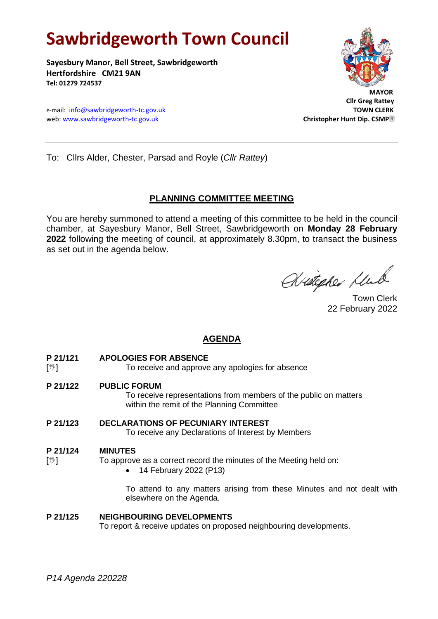# **Sawbridgeworth Town Council**

**Sayesbury Manor, Bell Street, Sawbridgeworth Hertfordshire CM21 9AN Tel: 01279 724537**

e-mail: [info@sawbridgeworth-tc.gov.uk](mailto:info@sawbridgeworth-tc.gov.uk)<br>
web: www.sawbridgeworth-tc.gov.uk **TOWN CLERK**<br>
Christopher Hunt Dip. CSMP® web: www.sawbridgeworth-tc.gov.uk



 **Cllr Greg Rattey**

To: Cllrs Alder, Chester, Parsad and Royle (*Cllr Rattey*)

## **PLANNING COMMITTEE MEETING**

You are hereby summoned to attend a meeting of this committee to be held in the council chamber, at Sayesbury Manor, Bell Street, Sawbridgeworth on **Monday 28 February 2022** following the meeting of council, at approximately 8.30pm, to transact the business as set out in the agenda below.

Wietegher Klub

Town Clerk 22 February 2022

# **AGENDA**

- **P 21/121 APOLOGIES FOR ABSENCE**
- [ $\mathcal{Y}$ ] To receive and approve any apologies for absence
- **P 21/122 PUBLIC FORUM**

To receive representations from members of the public on matters within the remit of the Planning Committee

**P 21/123 DECLARATIONS OF PECUNIARY INTEREST** To receive any Declarations of Interest by Members

#### **P 21/124 MINUTES**

 $[\mathcal{C}]$  To approve as a correct record the minutes of the Meeting held on:

• 14 February 2022 (P13)

To attend to any matters arising from these Minutes and not dealt with elsewhere on the Agenda.

#### **P 21/125 NEIGHBOURING DEVELOPMENTS**

To report & receive updates on proposed neighbouring developments.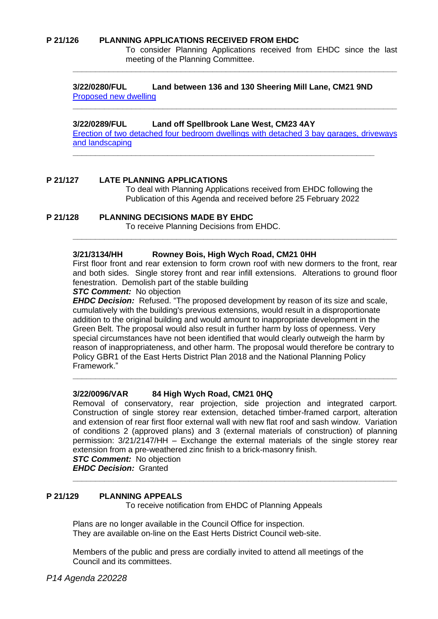#### **P 21/126 PLANNING APPLICATIONS RECEIVED FROM EHDC**

To consider Planning Applications received from EHDC since the last meeting of the Planning Committee.

#### **3/22/0280/FUL Land between 136 and 130 Sheering Mill Lane, CM21 9ND** [Proposed new dwelling](https://publicaccess.eastherts.gov.uk/online-applications/applicationDetails.do?activeTab=documents&keyVal=R6ZWZTGL00T00)

**\_\_\_\_\_\_\_\_\_\_\_\_\_\_\_\_\_\_\_\_\_\_\_\_\_\_\_\_\_\_\_\_\_\_\_\_\_\_\_\_\_\_\_\_\_\_\_\_\_\_\_\_\_\_\_\_\_\_\_\_\_\_\_\_\_\_\_**

#### **3/22/0289/FUL Land off Spellbrook Lane West, CM23 4AY**

[Erection of two detached four bedroom dwellings with detached 3 bay garages, driveways](https://publicaccess.eastherts.gov.uk/online-applications/applicationDetails.do?activeTab=documents&keyVal=R71P5TGLJDY00)  [and landscaping](https://publicaccess.eastherts.gov.uk/online-applications/applicationDetails.do?activeTab=documents&keyVal=R71P5TGLJDY00)

**\_\_\_\_\_\_\_\_\_\_\_\_\_\_\_\_\_\_\_\_\_\_\_\_\_\_\_\_\_\_\_\_\_\_\_\_\_\_\_\_\_\_\_\_\_\_\_\_\_\_\_\_\_\_\_\_\_\_\_\_\_\_\_\_\_\_\_\_\_\_\_\_**

**\_\_\_\_\_\_\_\_\_\_\_\_\_\_\_\_\_\_\_\_\_\_\_\_\_\_\_\_\_\_\_\_\_\_\_\_\_\_\_\_\_\_\_\_\_\_\_\_\_\_\_\_\_\_\_\_\_\_\_\_\_\_\_\_\_\_\_\_\_\_\_\_**

#### **P 21/127 LATE PLANNING APPLICATIONS**

To deal with Planning Applications received from EHDC following the Publication of this Agenda and received before 25 February 2022

#### **P 21/128 PLANNING DECISIONS MADE BY EHDC**

To receive Planning Decisions from EHDC.

#### **3/21/3134/HH Rowney Bois, High Wych Road, CM21 0HH**

First floor front and rear extension to form crown roof with new dormers to the front, rear and both sides. Single storey front and rear infill extensions. Alterations to ground floor fenestration. Demolish part of the stable building

**\_\_\_\_\_\_\_\_\_\_\_\_\_\_\_\_\_\_\_\_\_\_\_\_\_\_\_\_\_\_\_\_\_\_\_\_\_\_\_\_\_\_\_\_\_\_\_\_\_\_\_\_\_\_\_\_\_\_\_\_\_\_\_\_\_\_\_\_\_\_\_\_**

#### *STC Comment:* No objection

*EHDC Decision:* Refused. "The proposed development by reason of its size and scale, cumulatively with the building's previous extensions, would result in a disproportionate addition to the original building and would amount to inappropriate development in the Green Belt. The proposal would also result in further harm by loss of openness. Very special circumstances have not been identified that would clearly outweigh the harm by reason of inappropriateness, and other harm. The proposal would therefore be contrary to Policy GBR1 of the East Herts District Plan 2018 and the National Planning Policy Framework."

**\_\_\_\_\_\_\_\_\_\_\_\_\_\_\_\_\_\_\_\_\_\_\_\_\_\_\_\_\_\_\_\_\_\_\_\_\_\_\_\_\_\_\_\_\_\_\_\_\_\_\_\_\_\_\_\_\_\_\_\_\_\_\_\_\_\_\_\_\_\_\_\_**

#### **3/22/0096/VAR 84 High Wych Road, CM21 0HQ**

Removal of conservatory, rear projection, side projection and integrated carport. Construction of single storey rear extension, detached timber-framed carport, alteration and extension of rear first floor external wall with new flat roof and sash window. Variation of conditions 2 (approved plans) and 3 (external materials of construction) of planning permission: 3/21/2147/HH – Exchange the external materials of the single storey rear extension from a pre-weathered zinc finish to a brick-masonry finish.

**\_\_\_\_\_\_\_\_\_\_\_\_\_\_\_\_\_\_\_\_\_\_\_\_\_\_\_\_\_\_\_\_\_\_\_\_\_\_\_\_\_\_\_\_\_\_\_\_\_\_\_\_\_\_\_\_\_\_\_\_\_\_\_\_\_\_\_\_\_\_\_\_**

### *STC Comment:* No objection

*EHDC Decision:* Granted

#### **P 21/129 PLANNING APPEALS**

To receive notification from EHDC of Planning Appeals

Plans are no longer available in the Council Office for inspection. They are available on-line on the East Herts District Council web-site.

Members of the public and press are cordially invited to attend all meetings of the Council and its committees.